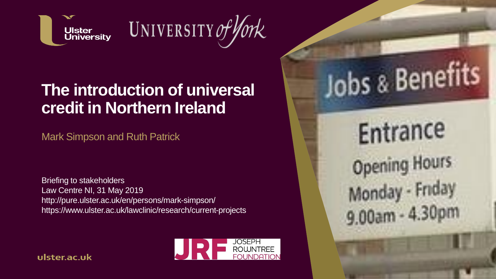

# UNIVERSITY of York

#### **The introduction of universal credit in Northern Ireland**

Mark Simpson and Ruth Patrick

Briefing to stakeholders Law Centre NI, 31 May 2019 http://pure.ulster.ac.uk/en/persons/mark-simpson/ https://www.ulster.ac.uk/lawclinic/research/current-projects



ulster.ac.uk

Entrance **Opening Hours** Monday - Friday 9.00am - 4.30pm

Jobs & Benefits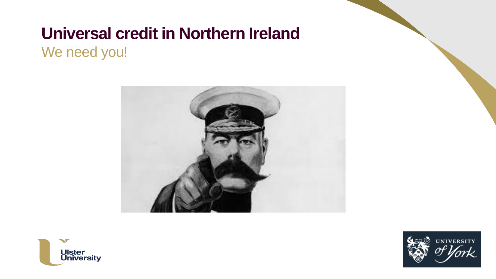We need you!





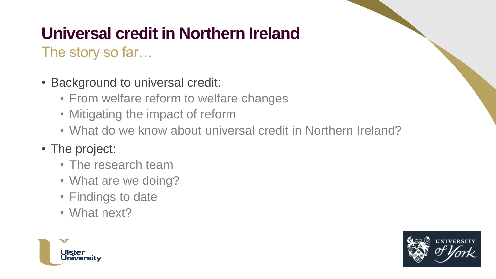The story so far…

- Background to universal credit:
	- From welfare reform to welfare changes
	- Mitigating the impact of reform
	- What do we know about universal credit in Northern Ireland?

#### • The project:

- The research team
- What are we doing?
- Findings to date
- What next?



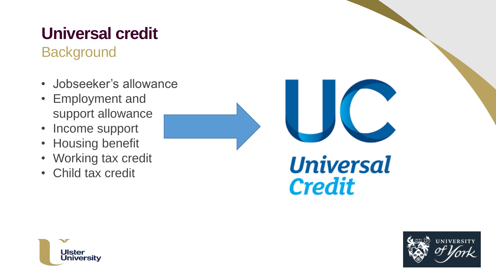# **Universal credit**

#### **Background**

- Jobseeker's allowance
- Employment and support allowance
- Income support
- Housing benefit
- Working tax credit
- Child tax credit





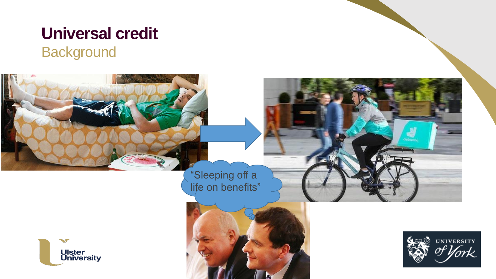# **Universal credit**

#### **Background**

"Sleeping off a life on benefits"

 $\sim$ 



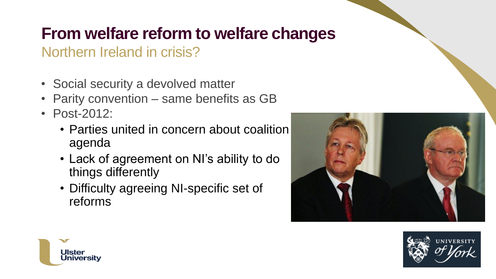### **From welfare reform to welfare changes**

#### Northern Ireland in crisis?

- Social security a devolved matter
- Parity convention same benefits as GB
- Post-2012:
	- Parties united in concern about coalition agenda
	- Lack of agreement on NI's ability to do things differently
	- Difficulty agreeing NI-specific set of reforms





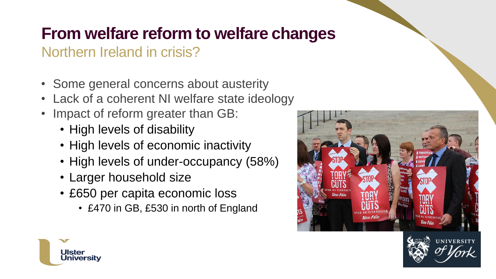### **From welfare reform to welfare changes**

#### Northern Ireland in crisis?

- Some general concerns about austerity
- Lack of a coherent NI welfare state ideology
- Impact of reform greater than GB:
	- High levels of disability
	- High levels of economic inactivity
	- High levels of under-occupancy (58%)
	- Larger household size
	- £650 per capita economic loss
		- £470 in GB, £530 in north of England





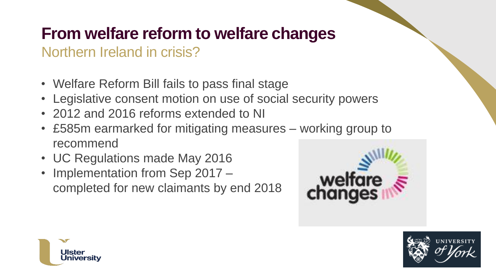### **From welfare reform to welfare changes**

#### Northern Ireland in crisis?

- Welfare Reform Bill fails to pass final stage
- Legislative consent motion on use of social security powers
- 2012 and 2016 reforms extended to NI
- £585m earmarked for mitigating measures working group to recommend
- UC Regulations made May 2016
- Implementation from Sep 2017 completed for new claimants by end 2018





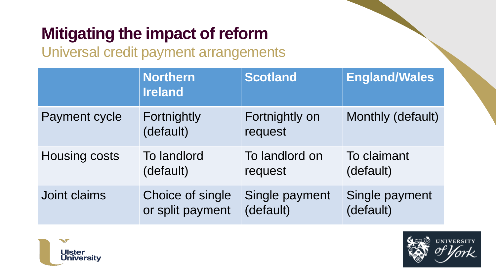## **Mitigating the impact of reform**

Universal credit payment arrangements

|                      | <b>Northern</b><br><b>Ireland</b> | <b>Scotland</b>           | <b>England/Wales</b> |
|----------------------|-----------------------------------|---------------------------|----------------------|
| Payment cycle        | Fortnightly<br>(default)          | Fortnightly on<br>request | Monthly (default)    |
| <b>Housing costs</b> | To landlord                       | To landlord on            | To claimant          |
|                      | (default)                         | request                   | (default)            |
| Joint claims         | Choice of single                  | Single payment            | Single payment       |
|                      | or split payment                  | (default)                 | (default)            |



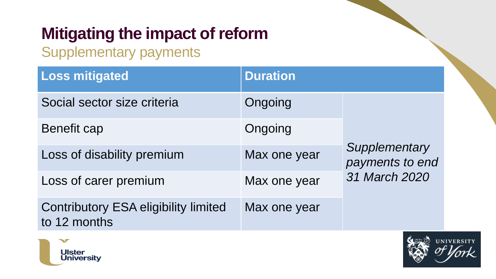# **Mitigating the impact of reform**

Supplementary payments

| <b>Loss mitigated</b>                                       | <b>Duration</b> |                                                   |
|-------------------------------------------------------------|-----------------|---------------------------------------------------|
| Social sector size criteria                                 | Ongoing         | Supplementary<br>payments to end<br>31 March 2020 |
| <b>Benefit cap</b><br>Loss of disability premium            | Ongoing         |                                                   |
|                                                             | Max one year    |                                                   |
| Loss of carer premium                                       | Max one year    |                                                   |
| <b>Contributory ESA eligibility limited</b><br>to 12 months | Max one year    |                                                   |



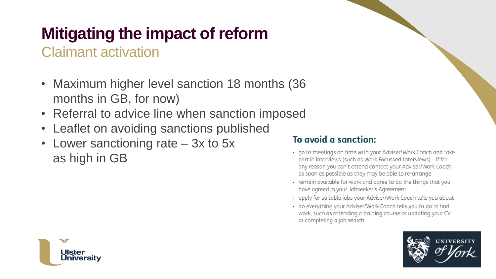# **Mitigating the impact of reform**

Claimant activation

- Maximum higher level sanction 18 months (36 months in GB, for now)
- Referral to advice line when sanction imposed
- Leaflet on avoiding sanctions published
- Lower sanctioning rate 3x to 5x as high in GB

#### To avoid a sanction:

- · go to meetings on time with your Adviser/Work Coach and take part in interviews (such as Work Focussed Interviews) - if for any reason you can't attend contact your Adviser/Work Coach as soon as possible as they may be able to re-arrange
- · remain available for work and agree to do the things that you have agreed in your Jobseeker's Agreement
- · apply for suitable jobs your Adviser/Work Coach tells you about
- · do everything your Adviser/Work Coach tells you to do to find work, such as attending a training course or updating your CV or completing a job search



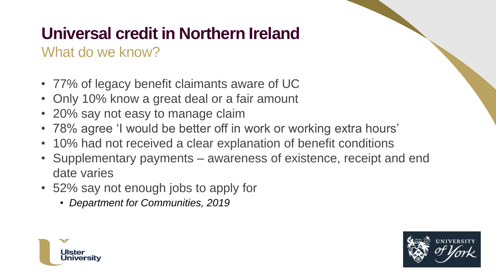#### What do we know?

- 77% of legacy benefit claimants aware of UC
- Only 10% know a great deal or a fair amount
- 20% say not easy to manage claim
- 78% agree 'I would be better off in work or working extra hours'
- 10% had not received a clear explanation of benefit conditions
- Supplementary payments awareness of existence, receipt and end date varies
- 52% say not enough jobs to apply for
	- *Department for Communities, 2019*



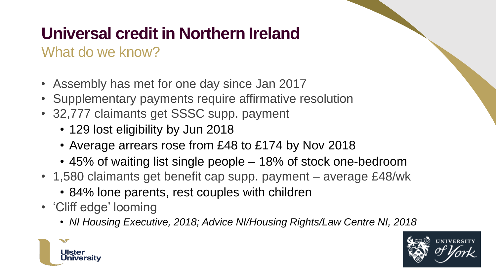#### What do we know?

- Assembly has met for one day since Jan 2017
- Supplementary payments require affirmative resolution
- 32,777 claimants get SSSC supp. payment
	- 129 lost eligibility by Jun 2018
	- Average arrears rose from £48 to £174 by Nov 2018
	- 45% of waiting list single people 18% of stock one-bedroom
- 1,580 claimants get benefit cap supp. payment average £48/wk
	- 84% lone parents, rest couples with children
- 'Cliff edge' looming
	- *NI Housing Executive, 2018; Advice NI/Housing Rights/Law Centre NI, 2018*



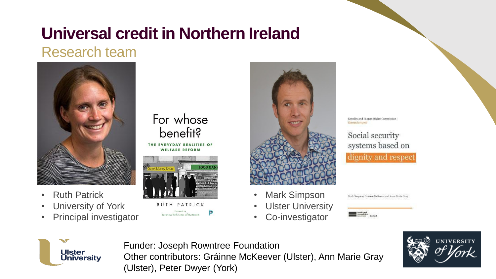#### Research team



- Ruth Patrick
- University of York
- Principal investigator

#### For whose benefit?

THE EVERYDAY REALITIES OF **WELFARE REFORM** 



PATRICK Baraness Ruth Lister of Burterse



- **Mark Simpson**
- Ulster University
- Co-investigator



Social security systems based on dignity and respect

Mark Simpson, Grimne McKeever and Anne Marie Gray







Funder: Joseph Rowntree Foundation Other contributors: Gráinne McKeever (Ulster), Ann Marie Gray (Ulster), Peter Dwyer (York)

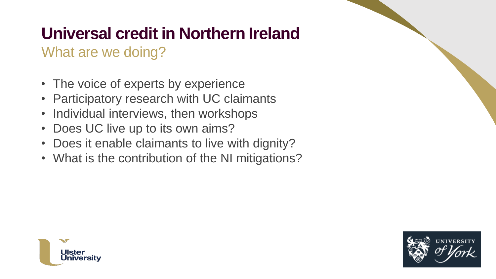#### What are we doing?

- The voice of experts by experience
- Participatory research with UC claimants
- Individual interviews, then workshops
- Does UC live up to its own aims?
- Does it enable claimants to live with dignity?
- What is the contribution of the NI mitigations?



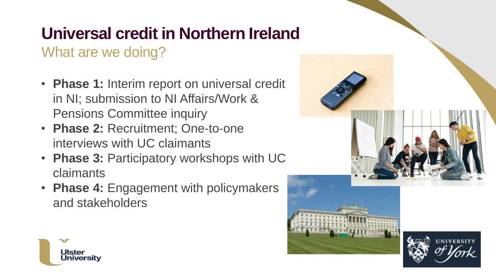#### What are we doing?

- **Phase 1:** Interim report on universal credit in NI; submission to NI Affairs/Work & Pensions Committee inquiry
- **Phase 2:** Recruitment; One-to-one interviews with UC claimants
- **Phase 3:** Participatory workshops with UC claimants
- **Phase 4:** Engagement with policymakers and stakeholders



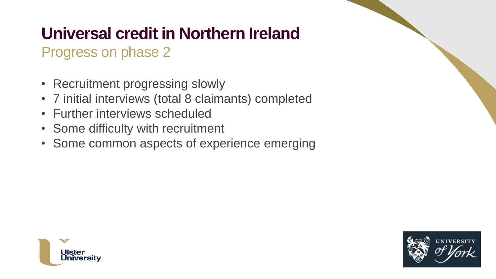#### Progress on phase 2

- Recruitment progressing slowly
- 7 initial interviews (total 8 claimants) completed
- Further interviews scheduled
- Some difficulty with recruitment
- Some common aspects of experience emerging



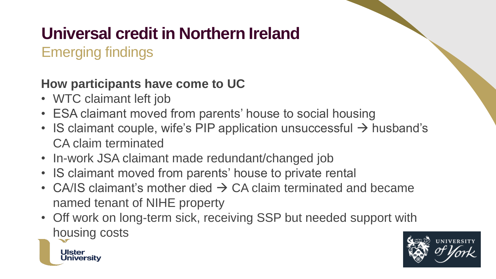Emerging findings

Jniversitv

#### **How participants have come to UC**

- WTC claimant left job
- ESA claimant moved from parents' house to social housing
- IS claimant couple, wife's PIP application unsuccessful  $\rightarrow$  husband's CA claim terminated
- In-work JSA claimant made redundant/changed job
- IS claimant moved from parents' house to private rental
- CA/IS claimant's mother died  $\rightarrow$  CA claim terminated and became named tenant of NIHE property
- Off work on long-term sick, receiving SSP but needed support with housing costs

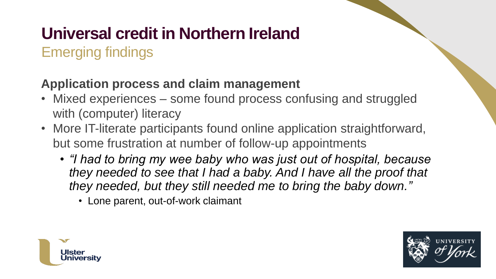Emerging findings

#### **Application process and claim management**

- Mixed experiences some found process confusing and struggled with (computer) literacy
- More IT-literate participants found online application straightforward, but some frustration at number of follow-up appointments
	- *"I had to bring my wee baby who was just out of hospital, because they needed to see that I had a baby. And I have all the proof that they needed, but they still needed me to bring the baby down."*
		- Lone parent, out-of-work claimant



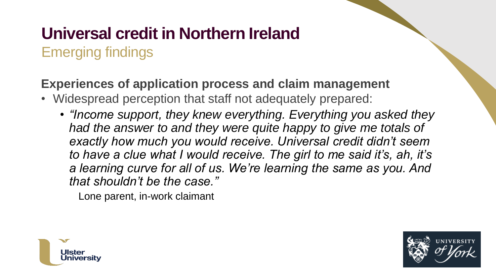#### Emerging findings

#### **Experiences of application process and claim management**

- Widespread perception that staff not adequately prepared:
	- *"Income support, they knew everything. Everything you asked they had the answer to and they were quite happy to give me totals of exactly how much you would receive. Universal credit didn't seem to have a clue what I would receive. The girl to me said it's, ah, it's a learning curve for all of us. We're learning the same as you. And that shouldn't be the case."*

Lone parent, in-work claimant



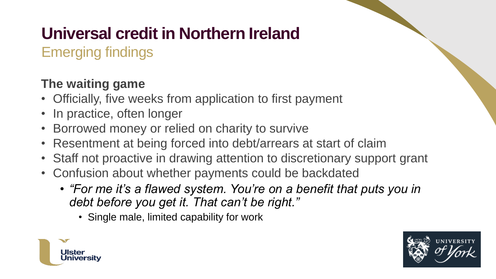Emerging findings

#### **The waiting game**

- Officially, five weeks from application to first payment
- In practice, often longer
- Borrowed money or relied on charity to survive
- Resentment at being forced into debt/arrears at start of claim
- Staff not proactive in drawing attention to discretionary support grant
- Confusion about whether payments could be backdated
	- *"For me it's a flawed system. You're on a benefit that puts you in debt before you get it. That can't be right."*
		- Single male, limited capability for work



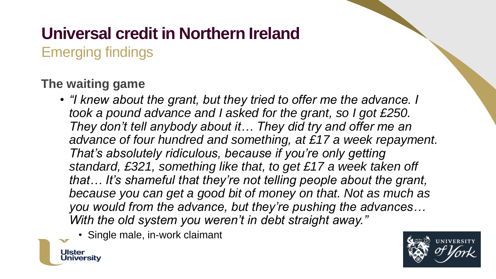Emerging findings

#### **The waiting game**

Ulste

Jniversitv

- *"I knew about the grant, but they tried to offer me the advance. I took a pound advance and I asked for the grant, so I got £250. They don't tell anybody about it… They did try and offer me an advance of four hundred and something, at £17 a week repayment. That's absolutely ridiculous, because if you're only getting standard, £321, something like that, to get £17 a week taken off that… It's shameful that they're not telling people about the grant, because you can get a good bit of money on that. Not as much as you would from the advance, but they're pushing the advances… With the old system you weren't in debt straight away."*
	- Single male, in-work claimant

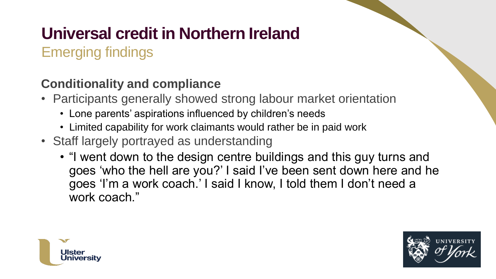Emerging findings

#### **Conditionality and compliance**

- Participants generally showed strong labour market orientation
	- Lone parents' aspirations influenced by children's needs
	- Limited capability for work claimants would rather be in paid work
- Staff largely portrayed as understanding
	- "I went down to the design centre buildings and this guy turns and goes 'who the hell are you?' I said I've been sent down here and he goes 'I'm a work coach.' I said I know, I told them I don't need a work coach."



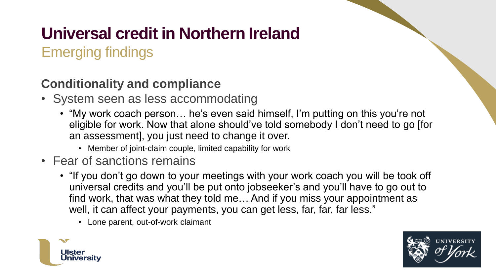Emerging findings

#### **Conditionality and compliance**

- System seen as less accommodating
	- "My work coach person… he's even said himself, I'm putting on this you're not eligible for work. Now that alone should've told somebody I don't need to go [for an assessment], you just need to change it over.
		- Member of joint-claim couple, limited capability for work
- Fear of sanctions remains
	- "If you don't go down to your meetings with your work coach you will be took off universal credits and you'll be put onto jobseeker's and you'll have to go out to find work, that was what they told me… And if you miss your appointment as well, it can affect your payments, you can get less, far, far, far less."
		- Lone parent, out-of-work claimant



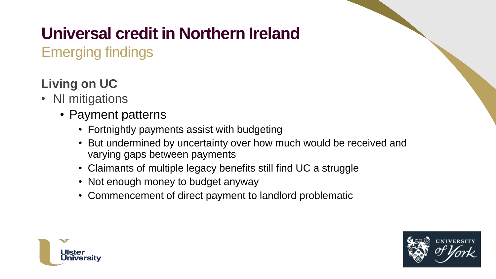Emerging findings

#### **Living on UC**

- NI mitigations
	- Payment patterns
		- Fortnightly payments assist with budgeting
		- But undermined by uncertainty over how much would be received and varying gaps between payments
		- Claimants of multiple legacy benefits still find UC a struggle
		- Not enough money to budget anyway
		- Commencement of direct payment to landlord problematic



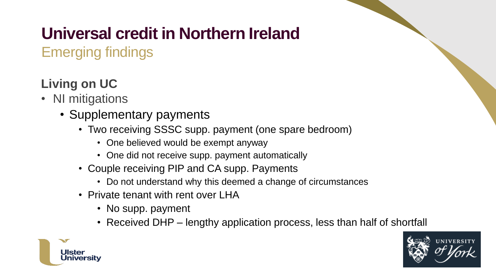Emerging findings

#### **Living on UC**

- NI mitigations
	- Supplementary payments
		- Two receiving SSSC supp. payment (one spare bedroom)
			- One believed would be exempt anyway
			- One did not receive supp. payment automatically
		- Couple receiving PIP and CA supp. Payments
			- Do not understand why this deemed a change of circumstances
		- Private tenant with rent over LHA
			- No supp. payment
			- Received DHP lengthy application process, less than half of shortfall



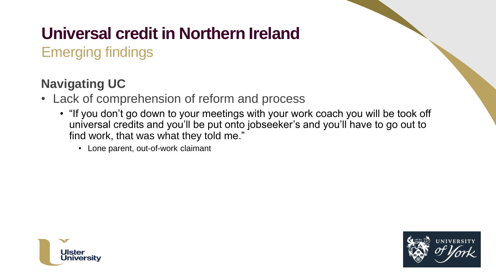Emerging findings

#### **Navigating UC**

- Lack of comprehension of reform and process
	- "If you don't go down to your meetings with your work coach you will be took off universal credits and you'll be put onto jobseeker's and you'll have to go out to find work, that was what they told me."
		- Lone parent, out-of-work claimant



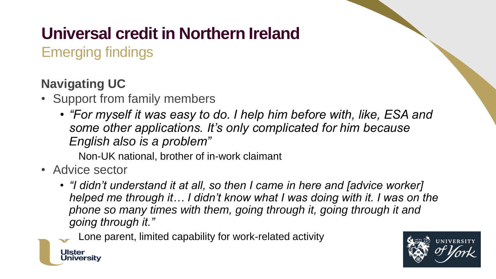Emerging findings

#### **Navigating UC**

- Support from family members
	- *"For myself it was easy to do. I help him before with, like, ESA and some other applications. It's only complicated for him because English also is a problem"*

Non-UK national, brother of in-work claimant

• Advice sector

Ulstei

Jniversitv

• *"I didn't understand it at all, so then I came in here and [advice worker] helped me through it… I didn't know what I was doing with it. I was on the phone so many times with them, going through it, going through it and going through it."* 

Lone parent, limited capability for work-related activity